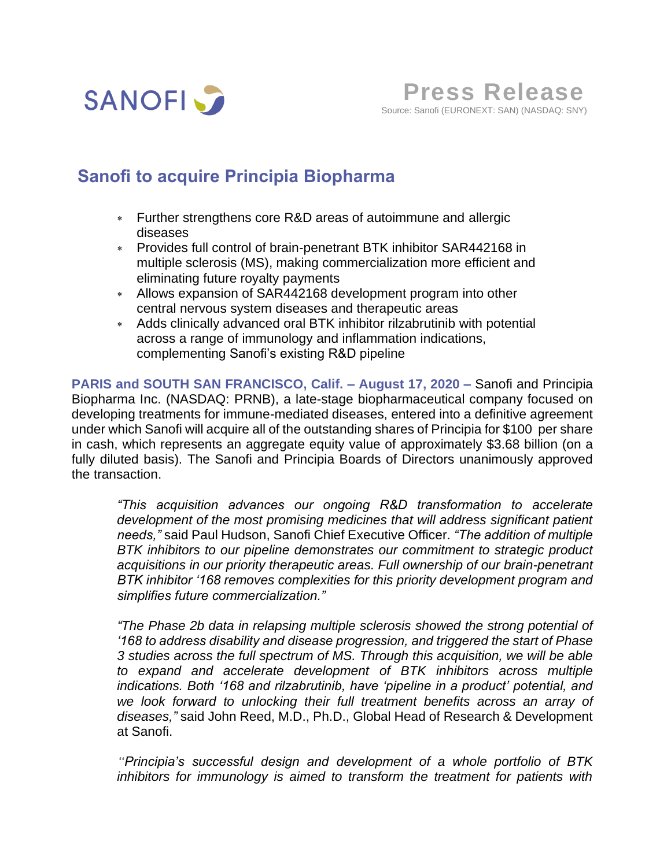



# **Sanofi to acquire Principia Biopharma**

- Further strengthens core R&D areas of autoimmune and allergic diseases
- Provides full control of brain-penetrant BTK inhibitor SAR442168 in multiple sclerosis (MS), making commercialization more efficient and eliminating future royalty payments
- Allows expansion of SAR442168 development program into other central nervous system diseases and therapeutic areas
- Adds clinically advanced oral BTK inhibitor rilzabrutinib with potential across a range of immunology and inflammation indications, complementing Sanofi's existing R&D pipeline

**PARIS and SOUTH SAN FRANCISCO, Calif. – August 17, 2020 –** Sanofi and Principia Biopharma Inc. (NASDAQ: PRNB), a late-stage biopharmaceutical company focused on developing treatments for immune-mediated diseases, entered into a definitive agreement under which Sanofi will acquire all of the outstanding shares of Principia for \$100 per share in cash, which represents an aggregate equity value of approximately \$3.68 billion (on a fully diluted basis). The Sanofi and Principia Boards of Directors unanimously approved the transaction.

*"This acquisition advances our ongoing R&D transformation to accelerate development of the most promising medicines that will address significant patient needs,"* said Paul Hudson, Sanofi Chief Executive Officer. *"The addition of multiple BTK inhibitors to our pipeline demonstrates our commitment to strategic product acquisitions in our priority therapeutic areas. Full ownership of our brain-penetrant BTK inhibitor '168 removes complexities for this priority development program and simplifies future commercialization."*

*"The Phase 2b data in relapsing multiple sclerosis showed the strong potential of '168 to address disability and disease progression, and triggered the start of Phase 3 studies across the full spectrum of MS. Through this acquisition, we will be able to expand and accelerate development of BTK inhibitors across multiple indications. Both '168 and rilzabrutinib, have 'pipeline in a product' potential, and we look forward to unlocking their full treatment benefits across an array of diseases,"* said John Reed, M.D., Ph.D., Global Head of Research & Development at Sanofi.

*"Principia's successful design and development of a whole portfolio of BTK inhibitors for immunology is aimed to transform the treatment for patients with*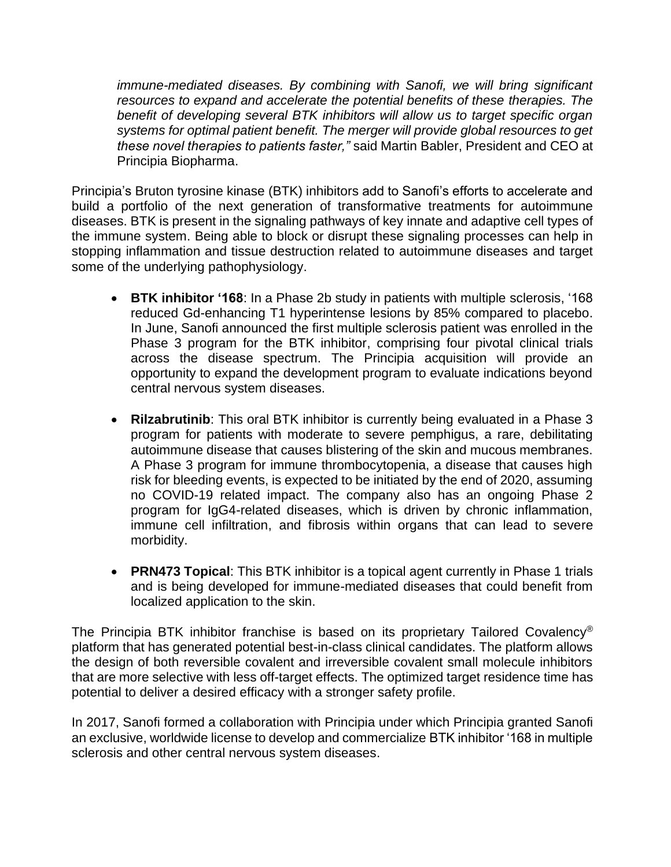*immune-mediated diseases. By combining with Sanofi, we will bring significant resources to expand and accelerate the potential benefits of these therapies. The benefit of developing several BTK inhibitors will allow us to target specific organ systems for optimal patient benefit. The merger will provide global resources to get these novel therapies to patients faster,"* said Martin Babler, President and CEO at Principia Biopharma.

Principia's Bruton tyrosine kinase (BTK) inhibitors add to Sanofi's efforts to accelerate and build a portfolio of the next generation of transformative treatments for autoimmune diseases. BTK is present in the signaling pathways of key innate and adaptive cell types of the immune system. Being able to block or disrupt these signaling processes can help in stopping inflammation and tissue destruction related to autoimmune diseases and target some of the underlying pathophysiology.

- **BTK inhibitor '168**: In a Phase 2b study in patients with multiple sclerosis, '168 reduced Gd-enhancing T1 hyperintense lesions by 85% compared to placebo. In June, Sanofi announced the first multiple sclerosis patient was enrolled in the Phase 3 program for the BTK inhibitor, comprising four pivotal clinical trials across the disease spectrum. The Principia acquisition will provide an opportunity to expand the development program to evaluate indications beyond central nervous system diseases.
- **Rilzabrutinib**: This oral BTK inhibitor is currently being evaluated in a Phase 3 program for patients with moderate to severe pemphigus, a rare, debilitating autoimmune disease that causes blistering of the skin and mucous membranes. A Phase 3 program for immune thrombocytopenia, a disease that causes high risk for bleeding events, is expected to be initiated by the end of 2020, assuming no COVID-19 related impact. The company also has an ongoing Phase 2 program for IgG4-related diseases, which is driven by chronic inflammation, immune cell infiltration, and fibrosis within organs that can lead to severe morbidity.
- **PRN473 Topical**: This BTK inhibitor is a topical agent currently in Phase 1 trials and is being developed for immune-mediated diseases that could benefit from localized application to the skin.

The Principia BTK inhibitor franchise is based on its proprietary Tailored Covalency® platform that has generated potential best-in-class clinical candidates. The platform allows the design of both reversible covalent and irreversible covalent small molecule inhibitors that are more selective with less off-target effects. The optimized target residence time has potential to deliver a desired efficacy with a stronger safety profile.

In 2017, Sanofi formed a collaboration with Principia under which Principia granted Sanofi an exclusive, worldwide license to develop and commercialize BTK inhibitor '168 in multiple sclerosis and other central nervous system diseases.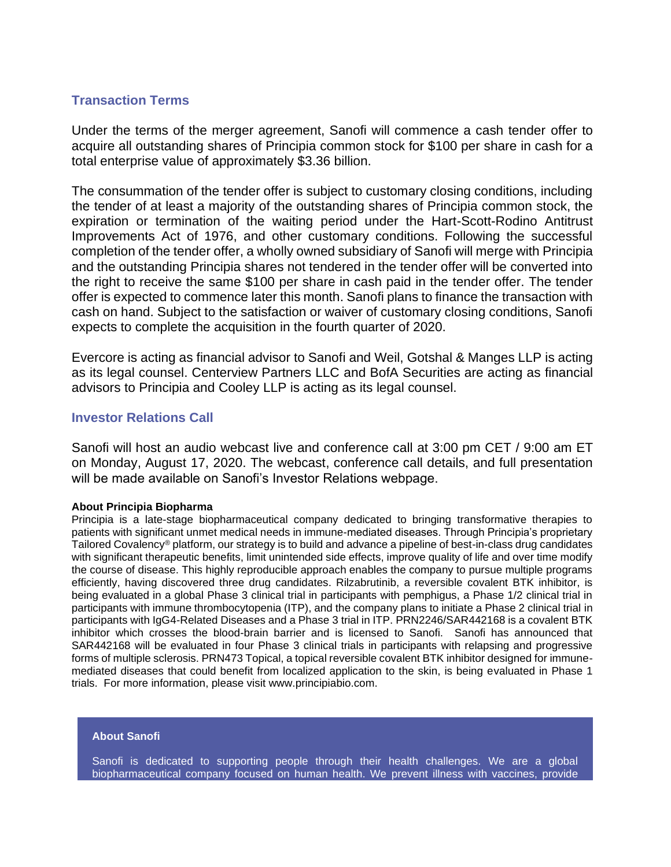## **Transaction Terms**

Under the terms of the merger agreement, Sanofi will commence a cash tender offer to acquire all outstanding shares of Principia common stock for \$100 per share in cash for a total enterprise value of approximately \$3.36 billion.

The consummation of the tender offer is subject to customary closing conditions, including the tender of at least a majority of the outstanding shares of Principia common stock, the expiration or termination of the waiting period under the Hart-Scott-Rodino Antitrust Improvements Act of 1976, and other customary conditions. Following the successful completion of the tender offer, a wholly owned subsidiary of Sanofi will merge with Principia and the outstanding Principia shares not tendered in the tender offer will be converted into the right to receive the same \$100 per share in cash paid in the tender offer. The tender offer is expected to commence later this month. Sanofi plans to finance the transaction with cash on hand. Subject to the satisfaction or waiver of customary closing conditions, Sanofi expects to complete the acquisition in the fourth quarter of 2020.

Evercore is acting as financial advisor to Sanofi and Weil, Gotshal & Manges LLP is acting as its legal counsel. Centerview Partners LLC and BofA Securities are acting as financial advisors to Principia and Cooley LLP is acting as its legal counsel.

### **Investor Relations Call**

Sanofi will host an audio webcast live and conference call at 3:00 pm CET / 9:00 am ET on Monday, August 17, 2020. The webcast, conference call details, and full presentation will be made available on Sanofi's Investor Relations webpage.

#### **About Principia Biopharma**

Principia is a late-stage biopharmaceutical company dedicated to bringing transformative therapies to patients with significant unmet medical needs in immune-mediated diseases. Through Principia's proprietary Tailored Covalency® platform, our strategy is to build and advance a pipeline of best-in-class drug candidates with significant therapeutic benefits, limit unintended side effects, improve quality of life and over time modify the course of disease. This highly reproducible approach enables the company to pursue multiple programs efficiently, having discovered three drug candidates. Rilzabrutinib, a reversible covalent BTK inhibitor, is being evaluated in a global Phase 3 clinical trial in participants with pemphigus, a Phase 1/2 clinical trial in participants with immune thrombocytopenia (ITP), and the company plans to initiate a Phase 2 clinical trial in participants with IgG4-Related Diseases and a Phase 3 trial in ITP. PRN2246/SAR442168 is a covalent BTK inhibitor which crosses the blood-brain barrier and is licensed to Sanofi. Sanofi has announced that SAR442168 will be evaluated in four Phase 3 clinical trials in participants with relapsing and progressive forms of multiple sclerosis. PRN473 Topical, a topical reversible covalent BTK inhibitor designed for immunemediated diseases that could benefit from localized application to the skin, is being evaluated in Phase 1 trials. For more information, please visit www.principiabio.com.

#### **About Sanofi**

Sanofi is dedicated to supporting people through their health challenges. We are a global biopharmaceutical company focused on human health. We prevent illness with vaccines, provide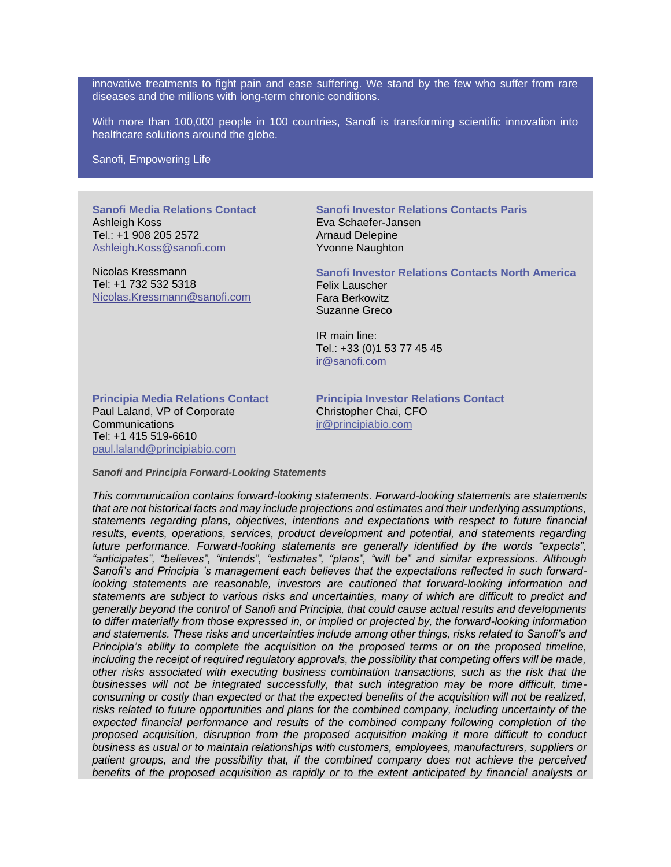innovative treatments to fight pain and ease suffering. We stand by the few who suffer from rare diseases and the millions with long-term chronic conditions.

With more than 100,000 people in 100 countries, Sanofi is transforming scientific innovation into healthcare solutions around the globe.

Sanofi, Empowering Life

**Sanofi Media Relations Contact** Ashleigh Koss Tel.: +1 908 205 2572 [Ashleigh.Koss@sanofi.com](mailto:Ashleigh.Koss@sanofi.com)

Nicolas Kressmann Tel: +1 732 532 5318 Nicolas.Kressmann@sanofi.com

**Sanofi Investor Relations Contacts Paris** Eva Schaefer-Jansen Arnaud Delepine Yvonne Naughton

**Sanofi Investor Relations Contacts North America** Felix Lauscher Fara Berkowitz Suzanne Greco

IR main line: Tel.: +33 (0)1 53 77 45 45 [ir@sanofi.com](mailto:ir@sanofi.com)

**Principia Media Relations Contact** Paul Laland, VP of Corporate **Communications** Tel: +1 415 519-6610 [paul.laland@principiabio.com](mailto:paul.laland@principiabio.com)

**Principia Investor Relations Contact** Christopher Chai, CFO ir@principiabio.com

*Sanofi and Principia Forward-Looking Statements*

*This communication contains forward-looking statements. Forward-looking statements are statements that are not historical facts and may include projections and estimates and their underlying assumptions, statements regarding plans, objectives, intentions and expectations with respect to future financial results, events, operations, services, product development and potential, and statements regarding future performance. Forward-looking statements are generally identified by the words "expects", "anticipates", "believes", "intends", "estimates", "plans", "will be" and similar expressions. Although Sanofi's and Principia 's management each believes that the expectations reflected in such forwardlooking statements are reasonable, investors are cautioned that forward-looking information and statements are subject to various risks and uncertainties, many of which are difficult to predict and generally beyond the control of Sanofi and Principia, that could cause actual results and developments to differ materially from those expressed in, or implied or projected by, the forward-looking information and statements. These risks and uncertainties include among other things, risks related to Sanofi's and Principia's ability to complete the acquisition on the proposed terms or on the proposed timeline, including the receipt of required regulatory approvals, the possibility that competing offers will be made, other risks associated with executing business combination transactions, such as the risk that the businesses will not be integrated successfully, that such integration may be more difficult, timeconsuming or costly than expected or that the expected benefits of the acquisition will not be realized, risks related to future opportunities and plans for the combined company, including uncertainty of the expected financial performance and results of the combined company following completion of the proposed acquisition, disruption from the proposed acquisition making it more difficult to conduct business as usual or to maintain relationships with customers, employees, manufacturers, suppliers or patient groups, and the possibility that, if the combined company does not achieve the perceived benefits of the proposed acquisition as rapidly or to the extent anticipated by financial analysts or*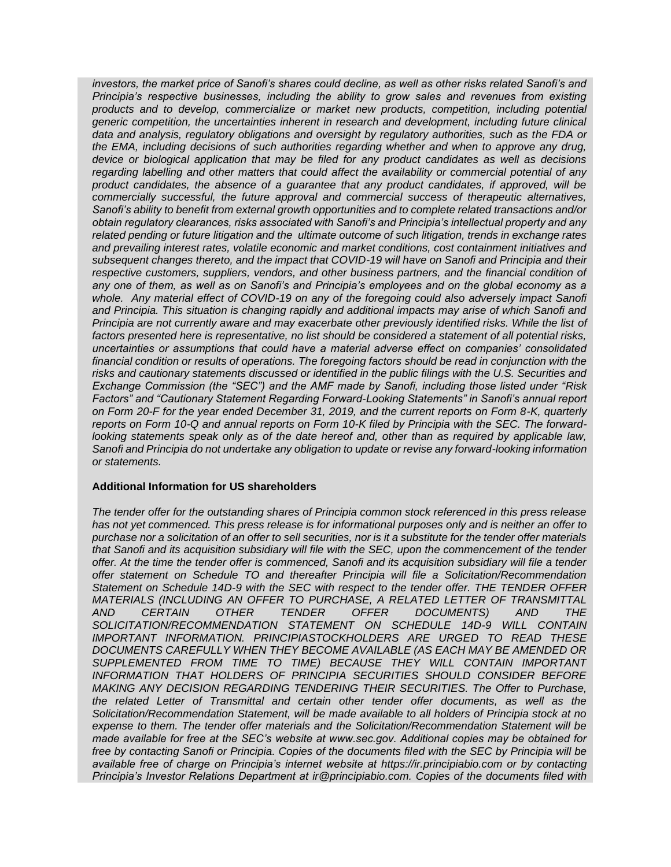*investors, the market price of Sanofi's shares could decline, as well as other risks related Sanofi's and Principia's respective businesses, including the ability to grow sales and revenues from existing products and to develop, commercialize or market new products, competition, including potential generic competition, the uncertainties inherent in research and development, including future clinical data and analysis, regulatory obligations and oversight by regulatory authorities, such as the FDA or the EMA, including decisions of such authorities regarding whether and when to approve any drug, device or biological application that may be filed for any product candidates as well as decisions regarding labelling and other matters that could affect the availability or commercial potential of any product candidates, the absence of a guarantee that any product candidates, if approved, will be commercially successful, the future approval and commercial success of therapeutic alternatives, Sanofi's ability to benefit from external growth opportunities and to complete related transactions and/or obtain regulatory clearances, risks associated with Sanofi's and Principia's intellectual property and any related pending or future litigation and the ultimate outcome of such litigation, trends in exchange rates and prevailing interest rates, volatile economic and market conditions, cost containment initiatives and subsequent changes thereto, and the impact that COVID-19 will have on Sanofi and Principia and their respective customers, suppliers, vendors, and other business partners, and the financial condition of any one of them, as well as on Sanofi's and Principia's employees and on the global economy as a whole. Any material effect of COVID-19 on any of the foregoing could also adversely impact Sanofi and Principia. This situation is changing rapidly and additional impacts may arise of which Sanofi and Principia are not currently aware and may exacerbate other previously identified risks. While the list of factors presented here is representative, no list should be considered a statement of all potential risks, uncertainties or assumptions that could have a material adverse effect on companies' consolidated financial condition or results of operations. The foregoing factors should be read in conjunction with the risks and cautionary statements discussed or identified in the public filings with the U.S. Securities and Exchange Commission (the "SEC") and the AMF made by Sanofi, including those listed under "Risk Factors" and "Cautionary Statement Regarding Forward-Looking Statements" in Sanofi's annual report on Form 20-F for the year ended December 31, 2019, and the current reports on Form 8-K, quarterly reports on Form 10-Q and annual reports on Form 10-K filed by Principia with the SEC. The forwardlooking statements speak only as of the date hereof and, other than as required by applicable law, Sanofi and Principia do not undertake any obligation to update or revise any forward-looking information or statements.*

#### **Additional Information for US shareholders**

*The tender offer for the outstanding shares of Principia common stock referenced in this press release has not yet commenced. This press release is for informational purposes only and is neither an offer to purchase nor a solicitation of an offer to sell securities, nor is it a substitute for the tender offer materials that Sanofi and its acquisition subsidiary will file with the SEC, upon the commencement of the tender offer. At the time the tender offer is commenced, Sanofi and its acquisition subsidiary will file a tender offer statement on Schedule TO and thereafter Principia will file a Solicitation/Recommendation Statement on Schedule 14D-9 with the SEC with respect to the tender offer. THE TENDER OFFER MATERIALS (INCLUDING AN OFFER TO PURCHASE, A RELATED LETTER OF TRANSMITTAL AND CERTAIN OTHER TENDER OFFER DOCUMENTS) AND THE SOLICITATION/RECOMMENDATION STATEMENT ON SCHEDULE 14D-9 WILL CONTAIN IMPORTANT INFORMATION. PRINCIPIASTOCKHOLDERS ARE URGED TO READ THESE DOCUMENTS CAREFULLY WHEN THEY BECOME AVAILABLE (AS EACH MAY BE AMENDED OR*  SUPPLEMENTED FROM TIME TO TIME) BECAUSE THEY WILL CONTAIN IMPORTANT *INFORMATION THAT HOLDERS OF PRINCIPIA SECURITIES SHOULD CONSIDER BEFORE MAKING ANY DECISION REGARDING TENDERING THEIR SECURITIES. The Offer to Purchase, the related Letter of Transmittal and certain other tender offer documents, as well as the Solicitation/Recommendation Statement, will be made available to all holders of Principia stock at no expense to them. The tender offer materials and the Solicitation/Recommendation Statement will be made available for free at the SEC's website at www.sec.gov. Additional copies may be obtained for free by contacting Sanofi or Principia. Copies of the documents filed with the SEC by Principia will be available free of charge on Principia's internet website at https://ir.principiabio.com or by contacting Principia's Investor Relations Department at ir@principiabio.com. Copies of the documents filed with*